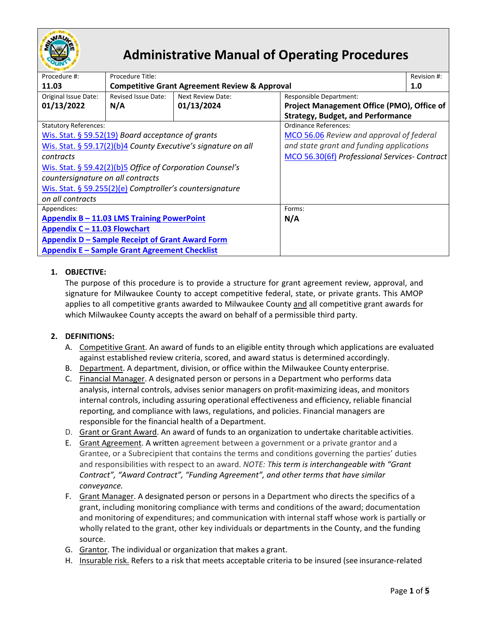

# **Administrative Manual of Operating Procedures**

| Procedure #:                                                  | Procedure Title:                                         |                   |                                               | Revision #: |
|---------------------------------------------------------------|----------------------------------------------------------|-------------------|-----------------------------------------------|-------------|
| 11.03                                                         | <b>Competitive Grant Agreement Review &amp; Approval</b> |                   |                                               | 1.0         |
| Original Issue Date:                                          | <b>Revised Issue Date:</b>                               | Next Review Date: | Responsible Department:                       |             |
| 01/13/2022                                                    | N/A                                                      | 01/13/2024        | Project Management Office (PMO), Office of    |             |
|                                                               |                                                          |                   | <b>Strategy, Budget, and Performance</b>      |             |
| <b>Statutory References:</b>                                  |                                                          |                   | Ordinance References:                         |             |
| Wis. Stat. § 59.52(19) Board acceptance of grants             |                                                          |                   | MCO 56.06 Review and approval of federal      |             |
| Wis. Stat. § 59.17(2)(b)4 County Executive's signature on all |                                                          |                   | and state grant and funding applications      |             |
| contracts                                                     |                                                          |                   | MCO 56.30(6f) Professional Services- Contract |             |
| Wis. Stat. § 59.42(2)(b)5 Office of Corporation Counsel's     |                                                          |                   |                                               |             |
| countersignature on all contracts                             |                                                          |                   |                                               |             |
|                                                               | Wis. Stat. § 59.255(2)(e) Comptroller's countersignature |                   |                                               |             |
| on all contracts                                              |                                                          |                   |                                               |             |
| Appendices:                                                   |                                                          |                   | Forms:                                        |             |
| Appendix B - 11.03 LMS Training PowerPoint                    |                                                          |                   | N/A                                           |             |
| Appendix C - 11.03 Flowchart                                  |                                                          |                   |                                               |             |
|                                                               | <b>Appendix D - Sample Receipt of Grant Award Form</b>   |                   |                                               |             |
|                                                               | Appendix E - Sample Grant Agreement Checklist            |                   |                                               |             |

## **1. OBJECTIVE:**

The purpose of this procedure is to provide a structure for grant agreement review, approval, and signature for Milwaukee County to accept competitive federal, state, or private grants. This AMOP applies to all competitive grants awarded to Milwaukee County and all competitive grant awards for which Milwaukee County accepts the award on behalf of a permissible third party.

#### **2. DEFINITIONS:**

- A. Competitive Grant. An award of funds to an eligible entity through which applications are evaluated against established review criteria, scored, and award status is determined accordingly.
- B. Department. A department, division, or office within the Milwaukee County enterprise.
- C. Financial Manager. A designated person or persons in a Department who performs data analysis, internal controls, advises senior managers on profit-maximizing ideas, and monitors internal controls, including assuring operational effectiveness and efficiency, reliable financial reporting, and compliance with laws, regulations, and policies. Financial managers are responsible for the financial health of a Department.
- D. Grant or Grant Award. An award of funds to an organization to undertake charitable activities.
- E. Grant Agreement. A written agreement between a government or a private grantor and a Grantee, or a Subrecipient that contains the terms and conditions governing the parties' duties and responsibilities with respect to an award. *NOTE: This term is interchangeable with "Grant Contract", "Award Contract", "Funding Agreement", and other terms that have similar conveyance.*
- F. Grant Manager. A designated person or persons in a Department who directs the specifics of a grant, including monitoring compliance with terms and conditions of the award; documentation and monitoring of expenditures; and communication with internal staff whose work is partially or wholly related to the grant, other key individuals or departments in the County, and the funding source.
- G. Grantor. The individual or organization that makes a grant.
- H. Insurable risk. Refers to a risk that meets acceptable criteria to be insured (see insurance-related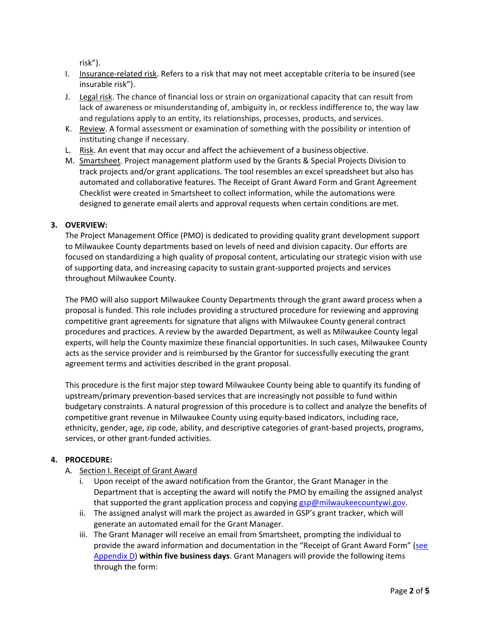risk").

- I. Insurance-related risk. Refers to a risk that may not meet acceptable criteria to be insured (see insurable risk").
- J. Legal risk. The chance of financial loss or strain on organizational capacity that can result from lack of awareness or misunderstanding of, ambiguity in, or reckless indifference to, the way law and regulations apply to an entity, its relationships, processes, products, and services.
- K. Review. A formal assessment or examination of something with the possibility or intention of instituting change if necessary.
- L. Risk. An event that may occur and affect the achievement of a businessobjective.
- M. Smartsheet. Project management platform used by the Grants & Special Projects Division to track projects and/or grant applications. The tool resembles an excel spreadsheet but also has automated and collaborative features. The Receipt of Grant Award Form and Grant Agreement Checklist were created in Smartsheet to collect information, while the automations were designed to generate email alerts and approval requests when certain conditions are met.

## **3. OVERVIEW:**

The Project Management Office (PMO) is dedicated to providing quality grant development support to Milwaukee County departments based on levels of need and division capacity. Our efforts are focused on standardizing a high quality of proposal content, articulating our strategic vision with use of supporting data, and increasing capacity to sustain grant-supported projects and services throughout Milwaukee County.

The PMO will also support Milwaukee County Departments through the grant award process when a proposal is funded. This role includes providing a structured procedure for reviewing and approving competitive grant agreements for signature that aligns with Milwaukee County general contract procedures and practices. A review by the awarded Department, as well as Milwaukee County legal experts, will help the County maximize these financial opportunities. In such cases, Milwaukee County acts as the service provider and is reimbursed by the Grantor for successfully executing the grant agreement terms and activities described in the grant proposal.

This procedure is the first major step toward Milwaukee County being able to quantify its funding of upstream/primary prevention-based services that are increasingly not possible to fund within budgetary constraints. A natural progression of this procedure is to collect and analyze the benefits of competitive grant revenue in Milwaukee County using equity-based indicators, including race, ethnicity, gender, age, zip code, ability, and descriptive categories of grant-based projects, programs, services, or other grant-funded activities.

# **4. PROCEDURE:**

- A. Section I. Receipt of Grant Award
	- i. Upon receipt of the award notification from the Grantor, the Grant Manager in the Department that is accepting the award will notify the PMO by emailing the assigned analyst that supported the grant application process and copying [gsp@milwaukeecountywi.gov.](mailto:grantsspecialprojects@milwaukeecountywi.gov)
	- ii. The assigned analyst will mark the project as awarded in GSP's grant tracker, which will generate an automated email for the Grant Manager.
	- iii. The Grant Manager will receive an email from Smartsheet, prompting the individual to provide the award information and documentation in the "Receipt of Grant Award Form" (see [Appendix D\)](https://county.milwaukee.gov/files/county/administrative-services/AMOP/Chapter-11--Grants/AppendixD-SampleReceiptofGrantAwardForm.pdf) **within five business days**. Grant Managers will provide the following items through the form: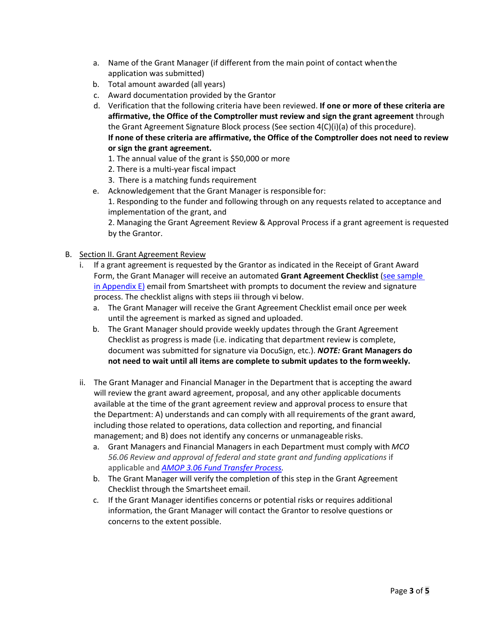- a. Name of the Grant Manager (if different from the main point of contact whenthe application was submitted)
- b. Total amount awarded (all years)
- c. Award documentation provided by the Grantor
- d. Verification that the following criteria have been reviewed. **If one or more of these criteria are affirmative, the Office of the Comptroller must review and sign the grant agreement** through the Grant Agreement Signature Block process (See section 4(C)(i)(a) of this procedure). **If none of these criteria are affirmative, the Office of the Comptroller does not need to review or sign the grant agreement.**
	- 1. The annual value of the grant is \$50,000 or more
	- 2. There is a multi-year fiscal impact
	- 3. There is a matching funds requirement
- e. Acknowledgement that the Grant Manager is responsible for: 1. Responding to the funder and following through on any requests related to acceptance and implementation of the grant, and

2. Managing the Grant Agreement Review & Approval Process if a grant agreement is requested by the Grantor.

- B. Section II. Grant Agreement Review
	- i. If a grant agreement is requested by the Grantor as indicated in the Receipt of Grant Award Form, the Grant Manager will receive an automated Grant Agreement Checklist (see sample in Appendix  $E$ ) email from Smartsheet with prompts to document the review and signature process. The checklist aligns with steps iii through vi below.
		- a. The Grant Manager will receive the Grant Agreement Checklist email once per week until the agreement is marked as signed and uploaded.
		- b. The Grant Manager should provide weekly updates through the Grant Agreement Checklist as progress is made (i.e. indicating that department review is complete, document was submitted for signature via DocuSign, etc.). *NOTE:* **Grant Managers do not need to wait until all items are complete to submit updates to the formweekly.**
	- ii. The Grant Manager and Financial Manager in the Department that is accepting the award will review the grant award agreement, proposal, and any other applicable documents available at the time of the grant agreement review and approval process to ensure that the Department: A) understands and can comply with all requirements of the grant award, including those related to operations, data collection and reporting, and financial management; and B) does not identify any concerns or unmanageable risks.
		- a. Grant Managers and Financial Managers in each Department must comply with *MCO 56.06 Review and approval of federal and state grant and funding applications* if applicable and *[AMOP 3.06 Fund Transfer Process.](https://county.milwaukee.gov/files/county/administrative-services/AMOP/Chapter-3-Budget--Financial-Transactions/03.06-FundTransferProcess.pdf)*
		- b. The Grant Manager will verify the completion of this step in the Grant Agreement Checklist through the Smartsheet email.
		- c. If the Grant Manager identifies concerns or potential risks or requires additional information, the Grant Manager will contact the Grantor to resolve questions or concerns to the extent possible.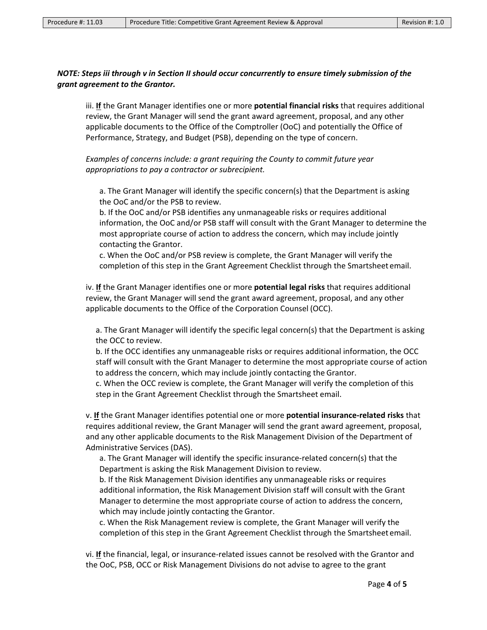## *NOTE: Steps iii through v in Section II should occur concurrently to ensure timely submission of the grant agreement to the Grantor.*

iii. **If** the Grant Manager identifies one or more **potential financial risks** that requires additional review, the Grant Manager will send the grant award agreement, proposal, and any other applicable documents to the Office of the Comptroller (OoC) and potentially the Office of Performance, Strategy, and Budget (PSB), depending on the type of concern.

*Examples of concerns include: a grant requiring the County to commit future year appropriations to pay a contractor or subrecipient.*

a. The Grant Manager will identify the specific concern(s) that the Department is asking the OoC and/or the PSB to review.

b. If the OoC and/or PSB identifies any unmanageable risks or requires additional information, the OoC and/or PSB staff will consult with the Grant Manager to determine the most appropriate course of action to address the concern, which may include jointly contacting the Grantor.

c. When the OoC and/or PSB review is complete, the Grant Manager will verify the completion of this step in the Grant Agreement Checklist through the Smartsheet email.

iv. **If** the Grant Manager identifies one or more **potential legal risks** that requires additional review, the Grant Manager will send the grant award agreement, proposal, and any other applicable documents to the Office of the Corporation Counsel (OCC).

a. The Grant Manager will identify the specific legal concern(s) that the Department is asking the OCC to review.

b. If the OCC identifies any unmanageable risks or requires additional information, the OCC staff will consult with the Grant Manager to determine the most appropriate course of action to address the concern, which may include jointly contacting the Grantor.

c. When the OCC review is complete, the Grant Manager will verify the completion of this step in the Grant Agreement Checklist through the Smartsheet email.

v. **If** the Grant Manager identifies potential one or more **potential insurance-related risks** that requires additional review, the Grant Manager will send the grant award agreement, proposal, and any other applicable documents to the Risk Management Division of the Department of Administrative Services (DAS).

a. The Grant Manager will identify the specific insurance-related concern(s) that the Department is asking the Risk Management Division to review.

b. If the Risk Management Division identifies any unmanageable risks or requires additional information, the Risk Management Division staff will consult with the Grant Manager to determine the most appropriate course of action to address the concern, which may include jointly contacting the Grantor.

c. When the Risk Management review is complete, the Grant Manager will verify the completion of this step in the Grant Agreement Checklist through the Smartsheet email.

vi. **If** the financial, legal, or insurance-related issues cannot be resolved with the Grantor and the OoC, PSB, OCC or Risk Management Divisions do not advise to agree to the grant